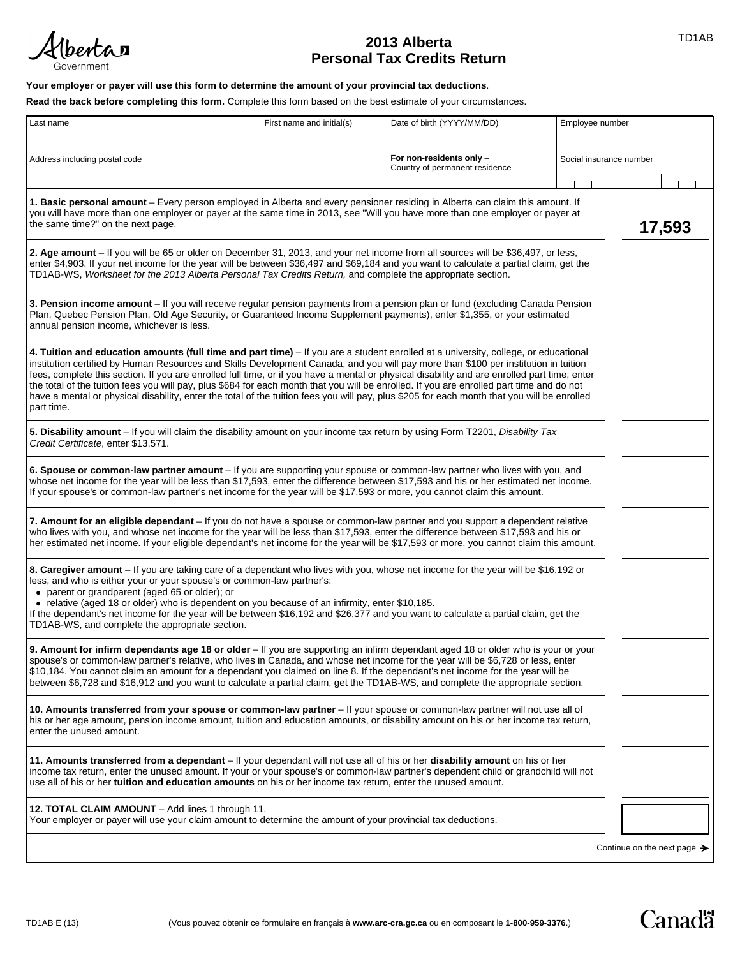

# TD1AB **2013 Alberta Personal Tax Credits Return**

## **Your employer or payer will use this form to determine the amount of your provincial tax deductions**.

**Read the back before completing this form.** Complete this form based on the best estimate of your circumstances.

| Last name                                                                                                                                                                                                                                                                                                                                                                                                                                                                                                                                                                                                                                                                                                                            | First name and initial(s) | Date of birth (YYYY/MM/DD)                                 | Employee number |                                         |  |
|--------------------------------------------------------------------------------------------------------------------------------------------------------------------------------------------------------------------------------------------------------------------------------------------------------------------------------------------------------------------------------------------------------------------------------------------------------------------------------------------------------------------------------------------------------------------------------------------------------------------------------------------------------------------------------------------------------------------------------------|---------------------------|------------------------------------------------------------|-----------------|-----------------------------------------|--|
| Address including postal code                                                                                                                                                                                                                                                                                                                                                                                                                                                                                                                                                                                                                                                                                                        |                           | For non-residents only -<br>Country of permanent residence |                 | Social insurance number                 |  |
| 1. Basic personal amount – Every person employed in Alberta and every pensioner residing in Alberta can claim this amount. If<br>you will have more than one employer or payer at the same time in 2013, see "Will you have more than one employer or payer at<br>the same time?" on the next page.                                                                                                                                                                                                                                                                                                                                                                                                                                  |                           |                                                            |                 | 17,593                                  |  |
| 2. Age amount – If you will be 65 or older on December 31, 2013, and your net income from all sources will be \$36,497, or less,<br>enter \$4,903. If your net income for the year will be between \$36,497 and \$69,184 and you want to calculate a partial claim, get the<br>TD1AB-WS, Worksheet for the 2013 Alberta Personal Tax Credits Return, and complete the appropriate section.                                                                                                                                                                                                                                                                                                                                           |                           |                                                            |                 |                                         |  |
| 3. Pension income amount – If you will receive regular pension payments from a pension plan or fund (excluding Canada Pension<br>Plan, Quebec Pension Plan, Old Age Security, or Guaranteed Income Supplement payments), enter \$1,355, or your estimated<br>annual pension income, whichever is less.                                                                                                                                                                                                                                                                                                                                                                                                                               |                           |                                                            |                 |                                         |  |
| 4. Tuition and education amounts (full time and part time) – If you are a student enrolled at a university, college, or educational<br>institution certified by Human Resources and Skills Development Canada, and you will pay more than \$100 per institution in tuition<br>fees, complete this section. If you are enrolled full time, or if you have a mental or physical disability and are enrolled part time, enter<br>the total of the tuition fees you will pay, plus \$684 for each month that you will be enrolled. If you are enrolled part time and do not<br>have a mental or physical disability, enter the total of the tuition fees you will pay, plus \$205 for each month that you will be enrolled<br>part time. |                           |                                                            |                 |                                         |  |
| 5. Disability amount – If you will claim the disability amount on your income tax return by using Form T2201, Disability Tax<br>Credit Certificate, enter \$13,571.                                                                                                                                                                                                                                                                                                                                                                                                                                                                                                                                                                  |                           |                                                            |                 |                                         |  |
| 6. Spouse or common-law partner amount – If you are supporting your spouse or common-law partner who lives with you, and<br>whose net income for the year will be less than \$17,593, enter the difference between \$17,593 and his or her estimated net income.<br>If your spouse's or common-law partner's net income for the year will be \$17,593 or more, you cannot claim this amount.                                                                                                                                                                                                                                                                                                                                         |                           |                                                            |                 |                                         |  |
| 7. Amount for an eligible dependant – If you do not have a spouse or common-law partner and you support a dependent relative<br>who lives with you, and whose net income for the year will be less than \$17,593, enter the difference between \$17,593 and his or<br>her estimated net income. If your eligible dependant's net income for the year will be \$17,593 or more, you cannot claim this amount.                                                                                                                                                                                                                                                                                                                         |                           |                                                            |                 |                                         |  |
| 8. Caregiver amount - If you are taking care of a dependant who lives with you, whose net income for the year will be \$16,192 or<br>less, and who is either your or your spouse's or common-law partner's:<br>• parent or grandparent (aged 65 or older); or<br>• relative (aged 18 or older) who is dependent on you because of an infirmity, enter \$10,185.<br>If the dependant's net income for the year will be between \$16,192 and \$26,377 and you want to calculate a partial claim, get the<br>TD1AB-WS, and complete the appropriate section.                                                                                                                                                                            |                           |                                                            |                 |                                         |  |
| 9. Amount for infirm dependants age 18 or older - If you are supporting an infirm dependant aged 18 or older who is your or your<br>spouse's or common-law partner's relative, who lives in Canada, and whose net income for the year will be \$6,728 or less, enter<br>\$10,184. You cannot claim an amount for a dependant you claimed on line 8. If the dependant's net income for the year will be<br>between \$6,728 and \$16,912 and you want to calculate a partial claim, get the TD1AB-WS, and complete the appropriate section.                                                                                                                                                                                            |                           |                                                            |                 |                                         |  |
| 10. Amounts transferred from your spouse or common-law partner - If your spouse or common-law partner will not use all of<br>his or her age amount, pension income amount, tuition and education amounts, or disability amount on his or her income tax return,<br>enter the unused amount.                                                                                                                                                                                                                                                                                                                                                                                                                                          |                           |                                                            |                 |                                         |  |
| 11. Amounts transferred from a dependant - If your dependant will not use all of his or her disability amount on his or her<br>income tax return, enter the unused amount. If your or your spouse's or common-law partner's dependent child or grandchild will not<br>use all of his or her tuition and education amounts on his or her income tax return, enter the unused amount.                                                                                                                                                                                                                                                                                                                                                  |                           |                                                            |                 |                                         |  |
| 12. TOTAL CLAIM AMOUNT - Add lines 1 through 11.<br>Your employer or payer will use your claim amount to determine the amount of your provincial tax deductions.                                                                                                                                                                                                                                                                                                                                                                                                                                                                                                                                                                     |                           |                                                            |                 |                                         |  |
|                                                                                                                                                                                                                                                                                                                                                                                                                                                                                                                                                                                                                                                                                                                                      |                           |                                                            |                 | Continue on the next page $\rightarrow$ |  |

**Canadä**